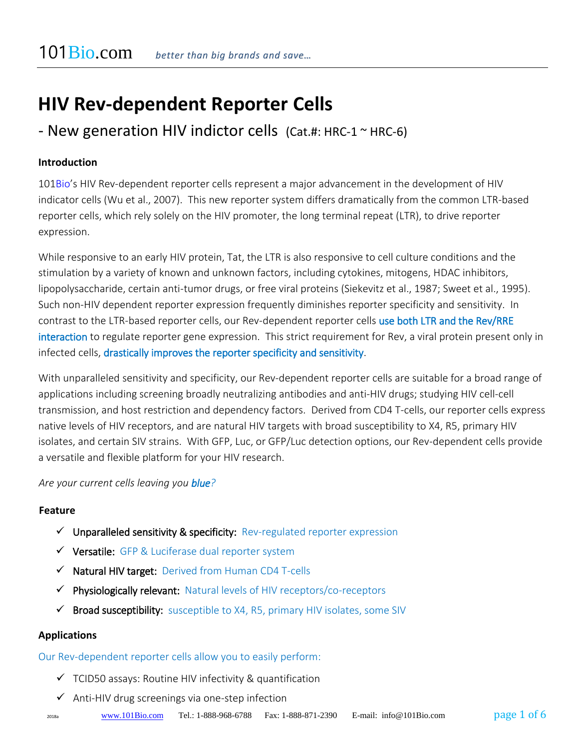# **HIV Rev-dependent Reporter Cells**

# - New generation HIV indictor cells  $(Cat. #: HRC-1 \sim HRC-6)$

# **Introduction**

101Bio's HIV Rev-dependent reporter cells represent a major advancement in the development of HIV indicator cells (Wu et al., 2007). This new reporter system differs dramatically from the common LTR-based reporter cells, which rely solely on the HIV promoter, the long terminal repeat (LTR), to drive reporter expression.

While responsive to an early HIV protein, Tat, the LTR is also responsive to cell culture conditions and the stimulation by a variety of known and unknown factors, including cytokines, mitogens, HDAC inhibitors, lipopolysaccharide, certain anti-tumor drugs, or free viral proteins (Siekevitz et al., 1987; Sweet et al., 1995). Such non-HIV dependent reporter expression frequently diminishes reporter specificity and sensitivity. In contrast to the LTR-based reporter cells, our Rev-dependent reporter cells use both LTR and the Rev/RRE interaction to regulate reporter gene expression. This strict requirement for Rev, a viral protein present only in infected cells, drastically improves the reporter specificity and sensitivity.

With unparalleled sensitivity and specificity, our Rev-dependent reporter cells are suitable for a broad range of applications including screening broadly neutralizing antibodies and anti-HIV drugs; studying HIV cell-cell transmission, and host restriction and dependency factors. Derived from CD4 T-cells, our reporter cells express native levels of HIV receptors, and are natural HIV targets with broad susceptibility to X4, R5, primary HIV isolates, and certain SIV strains. With GFP, Luc, or GFP/Luc detection options, our Rev-dependent cells provide a versatile and flexible platform for your HIV research.

*Are your current cells leaving you blue?*

#### **Feature**

- $\checkmark$  Unparalleled sensitivity & specificity: Rev-regulated reporter expression
- ✓ Versatile: GFP & Luciferase dual reporter system
- ✓ Natural HIV target: Derived from Human CD4 T-cells
- ✓ Physiologically relevant: Natural levels of HIV receptors/co-receptors
- $\checkmark$  Broad susceptibility: susceptible to X4, R5, primary HIV isolates, some SIV

#### **Applications**

Our Rev-dependent reporter cells allow you to easily perform:

- $\checkmark$  TCID50 assays: Routine HIV infectivity & quantification
- $\checkmark$  Anti-HIV drug screenings via one-step infection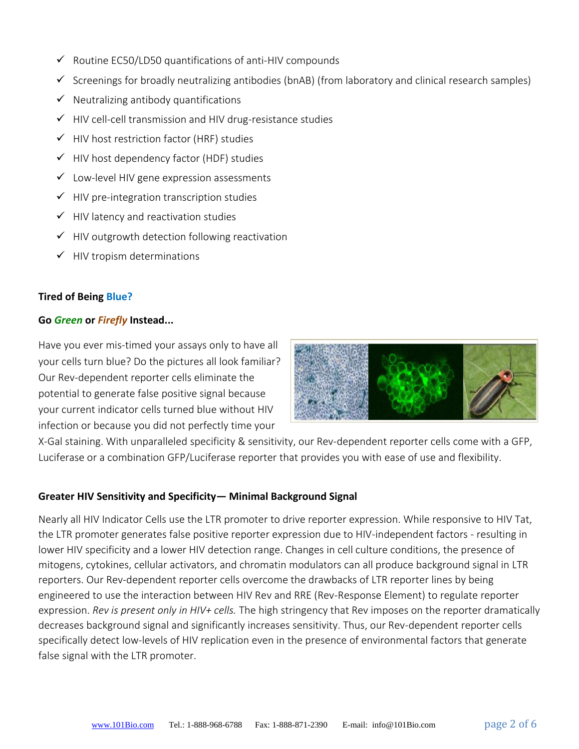- $\checkmark$  Routine EC50/LD50 quantifications of anti-HIV compounds
- $\checkmark$  Screenings for broadly neutralizing antibodies (bnAB) (from laboratory and clinical research samples)
- $\checkmark$  Neutralizing antibody quantifications
- ✓ HIV cell-cell transmission and HIV drug-resistance studies
- ✓ HIV host restriction factor (HRF) studies
- $\checkmark$  HIV host dependency factor (HDF) studies
- $\checkmark$  Low-level HIV gene expression assessments
- $\checkmark$  HIV pre-integration transcription studies
- $\checkmark$  HIV latency and reactivation studies
- $\checkmark$  HIV outgrowth detection following reactivation
- $\checkmark$  HIV tropism determinations

# **Tired of Being Blue?**

#### **Go** *Green* **or** *Firefly* **Instead...**

Have you ever mis-timed your assays only to have all your cells turn blue? Do the pictures all look familiar? Our Rev-dependent reporter cells eliminate the potential to generate false positive signal because your current indicator cells turned blue without HIV infection or because you did not perfectly time your



X-Gal staining. With unparalleled specificity & sensitivity, our Rev-dependent reporter cells come with a GFP, Luciferase or a combination GFP/Luciferase reporter that provides you with ease of use and flexibility.

# **Greater HIV Sensitivity and Specificity— Minimal Background Signal**

Nearly all HIV Indicator Cells use the LTR promoter to drive reporter expression. While responsive to HIV Tat, the LTR promoter generates false positive reporter expression due to HIV-independent factors - resulting in lower HIV specificity and a lower HIV detection range. Changes in cell culture conditions, the presence of mitogens, cytokines, cellular activators, and chromatin modulators can all produce background signal in LTR reporters. Our Rev-dependent reporter cells overcome the drawbacks of LTR reporter lines by being engineered to use the interaction between HIV Rev and RRE (Rev-Response Element) to regulate reporter expression. *Rev is present only in HIV+ cells.* The high stringency that Rev imposes on the reporter dramatically decreases background signal and significantly increases sensitivity. Thus, our Rev-dependent reporter cells specifically detect low-levels of HIV replication even in the presence of environmental factors that generate false signal with the LTR promoter.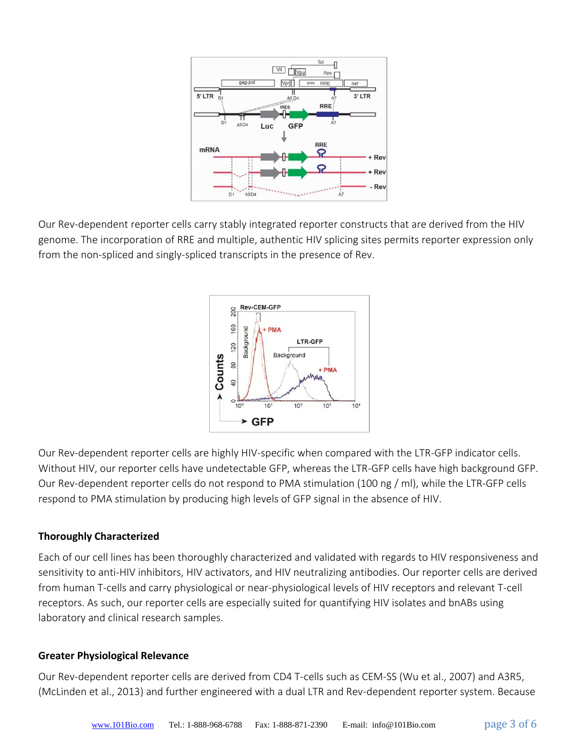

Our Rev-dependent reporter cells carry stably integrated reporter constructs that are derived from the HIV genome. The incorporation of RRE and multiple, authentic HIV splicing sites permits reporter expression only from the non-spliced and singly-spliced transcripts in the presence of Rev.



Our Rev-dependent reporter cells are highly HIV-specific when compared with the LTR-GFP indicator cells. Without HIV, our reporter cells have undetectable GFP, whereas the LTR-GFP cells have high background GFP. Our Rev-dependent reporter cells do not respond to PMA stimulation (100 ng / ml), while the LTR-GFP cells respond to PMA stimulation by producing high levels of GFP signal in the absence of HIV.

#### **Thoroughly Characterized**

Each of our cell lines has been thoroughly characterized and validated with regards to HIV responsiveness and sensitivity to anti-HIV inhibitors, HIV activators, and HIV neutralizing antibodies. Our reporter cells are derived from human T-cells and carry physiological or near-physiological levels of HIV receptors and relevant T-cell receptors. As such, our reporter cells are especially suited for quantifying HIV isolates and bnABs using laboratory and clinical research samples.

#### **Greater Physiological Relevance**

Our Rev-dependent reporter cells are derived from CD4 T-cells such as CEM-SS (Wu et al., 2007) and A3R5, (McLinden et al., 2013) and further engineered with a dual LTR and Rev-dependent reporter system. Because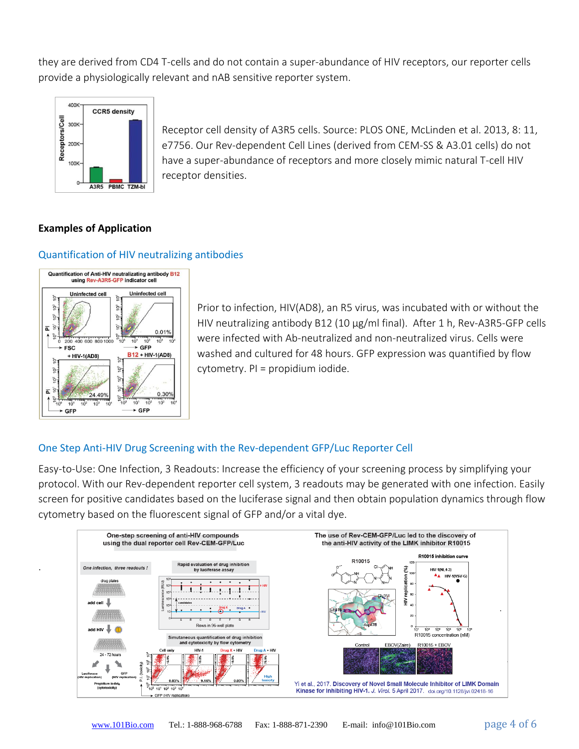they are derived from CD4 T-cells and do not contain a super-abundance of HIV receptors, our reporter cells provide a physiologically relevant and nAB sensitive reporter system.



Receptor cell density of A3R5 cells. Source: PLOS ONE, McLinden et al. 2013, 8: 11, e7756. Our Rev-dependent Cell Lines (derived from CEM-SS & A3.01 cells) do not have a super-abundance of receptors and more closely mimic natural T-cell HIV receptor densities.

# **Examples of Application**

#### Quantification of HIV neutralizing antibodies



.

Prior to infection, HIV(AD8), an R5 virus, was incubated with or without the HIV neutralizing antibody B12 (10 μg/ml final). After 1 h, Rev-A3R5-GFP cells were infected with Ab-neutralized and non-neutralized virus. Cells were washed and cultured for 48 hours. GFP expression was quantified by flow cytometry. PI = propidium iodide.

# One Step Anti-HIV Drug Screening with the Rev-dependent GFP/Luc Reporter Cell

Easy-to-Use: One Infection, 3 Readouts: Increase the efficiency of your screening process by simplifying your protocol. With our Rev-dependent reporter cell system, 3 readouts may be generated with one infection. Easily screen for positive candidates based on the luciferase signal and then obtain population dynamics through flow cytometry based on the fluorescent signal of GFP and/or a vital dye.

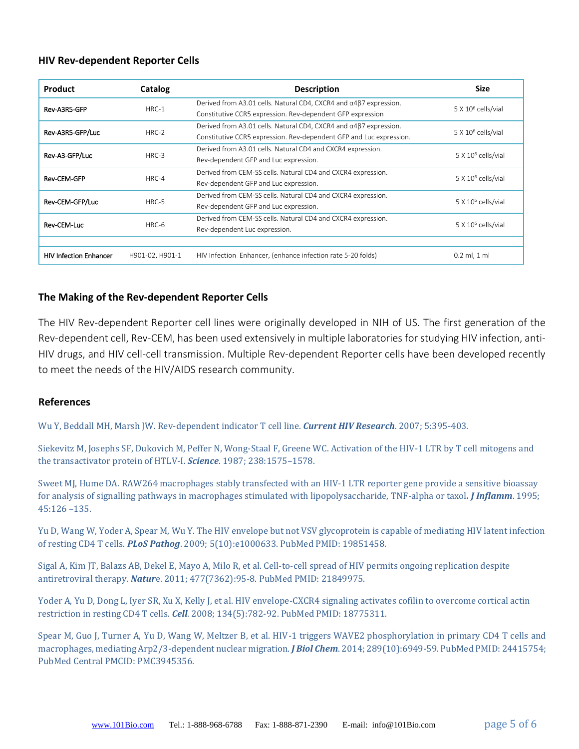#### **HIV Rev-dependent Reporter Cells**

| <b>Product</b>                | Catalog         | <b>Description</b>                                                                                                                                                                                                     | <b>Size</b>                    |  |
|-------------------------------|-----------------|------------------------------------------------------------------------------------------------------------------------------------------------------------------------------------------------------------------------|--------------------------------|--|
| Rev-A3R5-GFP                  | $HRC-1$         | Derived from A3.01 cells. Natural CD4, CXCR4 and $\alpha$ 4 $\beta$ 7 expression.                                                                                                                                      | 5 X 10 <sup>6</sup> cells/vial |  |
| Rev-A3R5-GFP/Luc              | HRC-2           | Constitutive CCR5 expression. Rev-dependent GFP expression<br>Derived from A3.01 cells. Natural CD4, CXCR4 and $\alpha$ 4 $\beta$ 7 expression.<br>Constitutive CCR5 expression. Rev-dependent GFP and Luc expression. | $5 \times 10^6$ cells/vial     |  |
| Rev-A3-GFP/Luc                | $HRC-3$         | Derived from A3.01 cells. Natural CD4 and CXCR4 expression.<br>Rev-dependent GFP and Luc expression.                                                                                                                   | 5 X 10 <sup>6</sup> cells/vial |  |
| <b>Rev-CEM-GFP</b>            | HRC-4           | Derived from CEM-SS cells. Natural CD4 and CXCR4 expression.<br>Rev-dependent GFP and Luc expression.                                                                                                                  | $5 \times 10^6$ cells/vial     |  |
| Rev-CEM-GFP/Luc               | HRC-5           | Derived from CEM-SS cells. Natural CD4 and CXCR4 expression.<br>Rev-dependent GFP and Luc expression.                                                                                                                  | 5 X 10 <sup>6</sup> cells/vial |  |
| Rev-CEM-Luc                   | HRC-6           | Derived from CEM-SS cells. Natural CD4 and CXCR4 expression.<br>Rev-dependent Luc expression.                                                                                                                          | 5 X 10 <sup>6</sup> cells/vial |  |
|                               |                 |                                                                                                                                                                                                                        |                                |  |
| <b>HIV Infection Enhancer</b> | H901-02, H901-1 | HIV Infection Enhancer, (enhance infection rate 5-20 folds)                                                                                                                                                            | $0.2$ ml, $1$ ml               |  |

#### **The Making of the Rev-dependent Reporter Cells**

The HIV Rev-dependent Reporter cell lines were originally developed in NIH of US. The first generation of the Rev-dependent cell, Rev-CEM, has been used extensively in multiple laboratories for studying HIV infection, anti-HIV drugs, and HIV cell-cell transmission. Multiple Rev-dependent Reporter cells have been developed recently to meet the needs of the HIV/AIDS research community.

#### **References**

Wu Y, Beddall MH, Marsh JW. Rev-dependent indicator T cell line. *Current HIV Research*. 2007; 5:395-403.

Siekevitz M, Josephs SF, Dukovich M, Peffer N, Wong-Staal F, Greene WC. Activation of the HIV-1 LTR by T cell mitogens and the transactivator protein of HTLV-I. *Science*. 1987; 238:1575–1578.

Sweet MJ, Hume DA. RAW264 macrophages stably transfected with an HIV-1 LTR reporter gene provide a sensitive bioassay for analysis of signalling pathways in macrophages stimulated with lipopolysaccharide, TNF-alpha or taxol*. J Inflamm*. 1995; 45:126 –135.

Yu D, Wang W, Yoder A, Spear M, Wu Y. The HIV envelope but not VSV glycoprotein is capable of mediating HIV latent infection of resting CD4 T cells. *PLoS Pathog*. 2009; 5(10):e1000633. PubMed PMID: 19851458.

Sigal A, Kim JT, Balazs AB, Dekel E, Mayo A, Milo R, et al. Cell-to-cell spread of HIV permits ongoing replication despite antiretroviral therapy. *Natur*e. 2011; 477(7362):95-8. PubMed PMID: 21849975.

Yoder A, Yu D, Dong L, Iyer SR, Xu X, Kelly J, et al. HIV envelope-CXCR4 signaling activates cofilin to overcome cortical actin restriction in resting CD4 T cells. *Cell*. 2008; 134(5):782-92. PubMed PMID: 18775311.

Spear M, Guo J, Turner A, Yu D, Wang W, Meltzer B, et al. HIV-1 triggers WAVE2 phosphorylation in primary CD4 T cells and macrophages, mediating Arp2/3-dependent nuclear migration. *J Biol Chem*. 2014; 289(10):6949-59. PubMed PMID: 24415754; PubMed Central PMCID: PMC3945356.